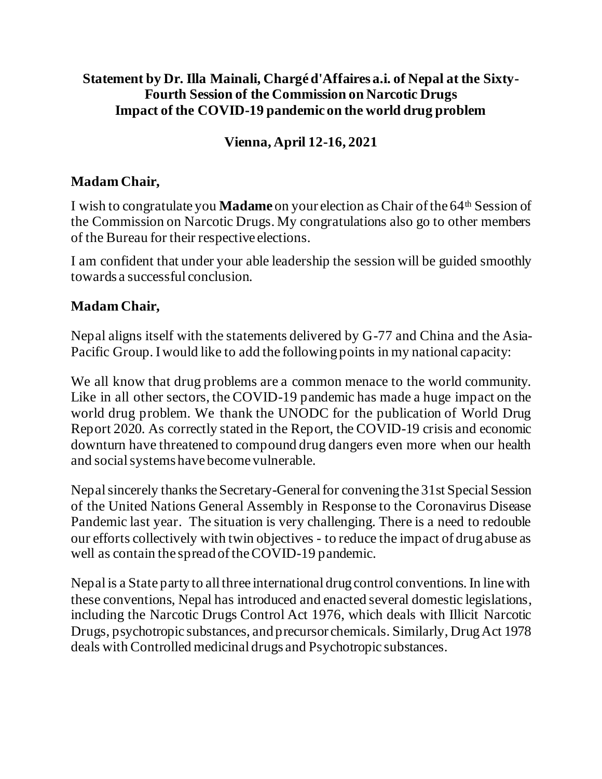#### **Statement by Dr. Illa Mainali, Chargé d'Affaires a.i. of Nepal at the Sixty-Fourth Session of the Commission on Narcotic Drugs Impact of the COVID-19 pandemic on the world drug problem**

# **Vienna, April 12-16, 2021**

#### **Madam Chair,**

I wish to congratulate you **Madame** on your election as Chair of the 64<sup>th</sup> Session of the Commission on Narcotic Drugs. My congratulations also go to other members of the Bureau for their respective elections.

I am confident that under your able leadership the session will be guided smoothly towards a successful conclusion.

### **Madam Chair,**

Nepal aligns itself with the statements delivered by G-77 and China and the Asia-Pacific Group. I would like to add the following points in my national capacity:

We all know that drug problems are a common menace to the world community. Like in all other sectors, the COVID-19 pandemic has made a huge impact on the world drug problem. We thank the UNODC for the publication of World Drug Report 2020. As correctly stated in the Report, the COVID-19 crisis and economic downturn have threatened to compound drug dangers even more when our health and social systems have become vulnerable.

Nepal sincerely thanks the Secretary-General for convening the 31st Special Session of the United Nations General Assembly in Response to the Coronavirus Disease Pandemic last year. The situation is very challenging. There is a need to redouble our efforts collectively with twin objectives - to reduce the impact of drug abuse as well as contain the spread of the COVID-19 pandemic.

Nepal is a State party to all three international drug control conventions. In line with these conventions, Nepal has introduced and enacted several domestic legislations, including the Narcotic Drugs Control Act 1976, which deals with Illicit Narcotic Drugs, psychotropic substances, and precursor chemicals. Similarly, Drug Act 1978 deals with Controlled medicinal drugs and Psychotropic substances.